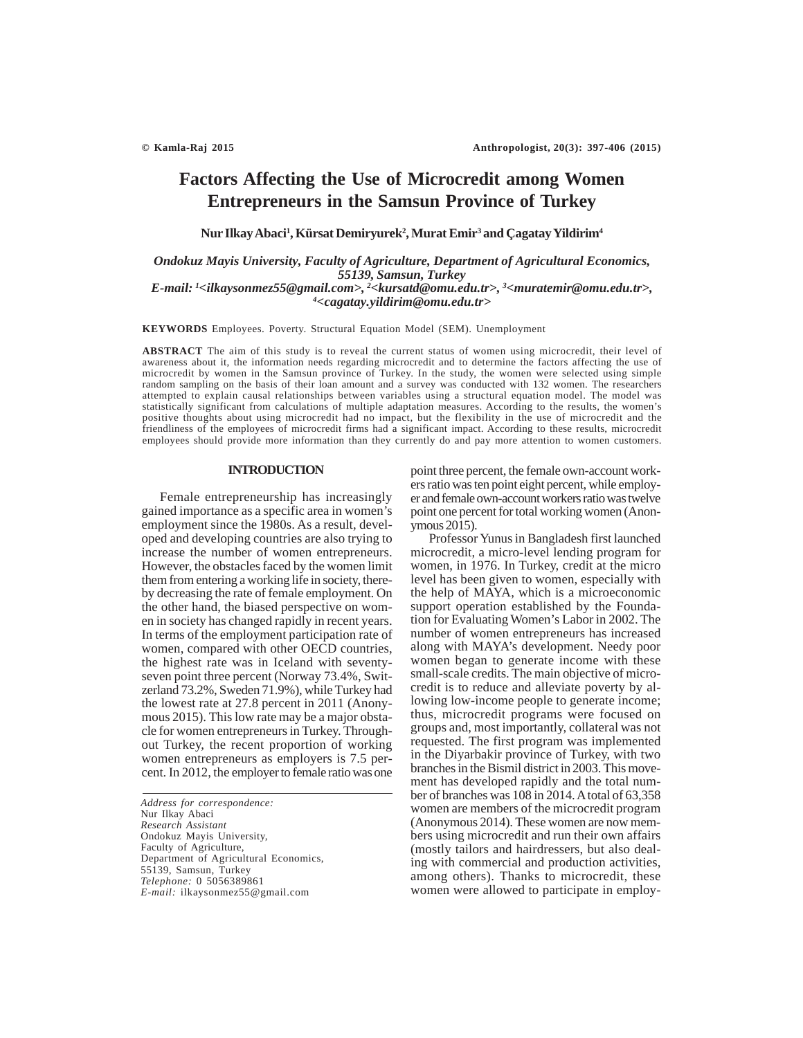# **Factors Affecting the Use of Microcredit among Women Entrepreneurs in the Samsun Province of Turkey**

**Nur Ilkay Abaci1 , Kürsat Demiryurek2 , Murat Emir3 and Çagatay Yildirim4**

*Ondokuz Mayis University, Faculty of Agriculture, Department of Agricultural Economics, 55139, Samsun, Turkey*

*E-mail: 1 <ilkaysonmez55@gmail.com>, 2 <kursatd@omu.edu.tr>, 3 <muratemir@omu.edu.tr>, 4 <cagatay.yildirim@omu.edu.tr>*

**KEYWORDS** Employees. Poverty. Structural Equation Model (SEM). Unemployment

**ABSTRACT** The aim of this study is to reveal the current status of women using microcredit, their level of awareness about it, the information needs regarding microcredit and to determine the factors affecting the use of microcredit by women in the Samsun province of Turkey. In the study, the women were selected using simple random sampling on the basis of their loan amount and a survey was conducted with 132 women. The researchers attempted to explain causal relationships between variables using a structural equation model. The model was statistically significant from calculations of multiple adaptation measures. According to the results, the women's positive thoughts about using microcredit had no impact, but the flexibility in the use of microcredit and the friendliness of the employees of microcredit firms had a significant impact. According to these results, microcredit employees should provide more information than they currently do and pay more attention to women customers.

#### **INTRODUCTION**

Female entrepreneurship has increasingly gained importance as a specific area in women's employment since the 1980s. As a result, developed and developing countries are also trying to increase the number of women entrepreneurs. However, the obstacles faced by the women limit them from entering a working life in society, thereby decreasing the rate of female employment. On the other hand, the biased perspective on women in society has changed rapidly in recent years. In terms of the employment participation rate of women, compared with other OECD countries, the highest rate was in Iceland with seventyseven point three percent (Norway 73.4%, Switzerland 73.2%, Sweden 71.9%), while Turkey had the lowest rate at 27.8 percent in 2011 (Anonymous 2015). This low rate may be a major obstacle for women entrepreneurs in Turkey. Throughout Turkey, the recent proportion of working women entrepreneurs as employers is 7.5 percent. In 2012, the employer to female ratio was one

*Address for correspondence:* Nur Ilkay Abaci *Research Assistant* Ondokuz Mayis University, Faculty of Agriculture, Department of Agricultural Economics, 55139, Samsun, Turkey *Telephone:* 0 5056389861 *E-mail:* ilkaysonmez55@gmail.com

point three percent, the female own-account workers ratio was ten point eight percent, while employer and female own-account workers ratio was twelve point one percent for total working women (Anonymous 2015).

Professor Yunus in Bangladesh first launched microcredit, a micro-level lending program for women, in 1976. In Turkey, credit at the micro level has been given to women, especially with the help of MAYA, which is a microeconomic support operation established by the Foundation for Evaluating Women's Labor in 2002. The number of women entrepreneurs has increased along with MAYA's development. Needy poor women began to generate income with these small-scale credits. The main objective of microcredit is to reduce and alleviate poverty by allowing low-income people to generate income; thus, microcredit programs were focused on groups and, most importantly, collateral was not requested. The first program was implemented in the Diyarbakir province of Turkey, with two branches in the Bismil district in 2003. This movement has developed rapidly and the total number of branches was 108 in 2014. A total of 63,358 women are members of the microcredit program (Anonymous 2014). These women are now members using microcredit and run their own affairs (mostly tailors and hairdressers, but also dealing with commercial and production activities, among others). Thanks to microcredit, these women were allowed to participate in employ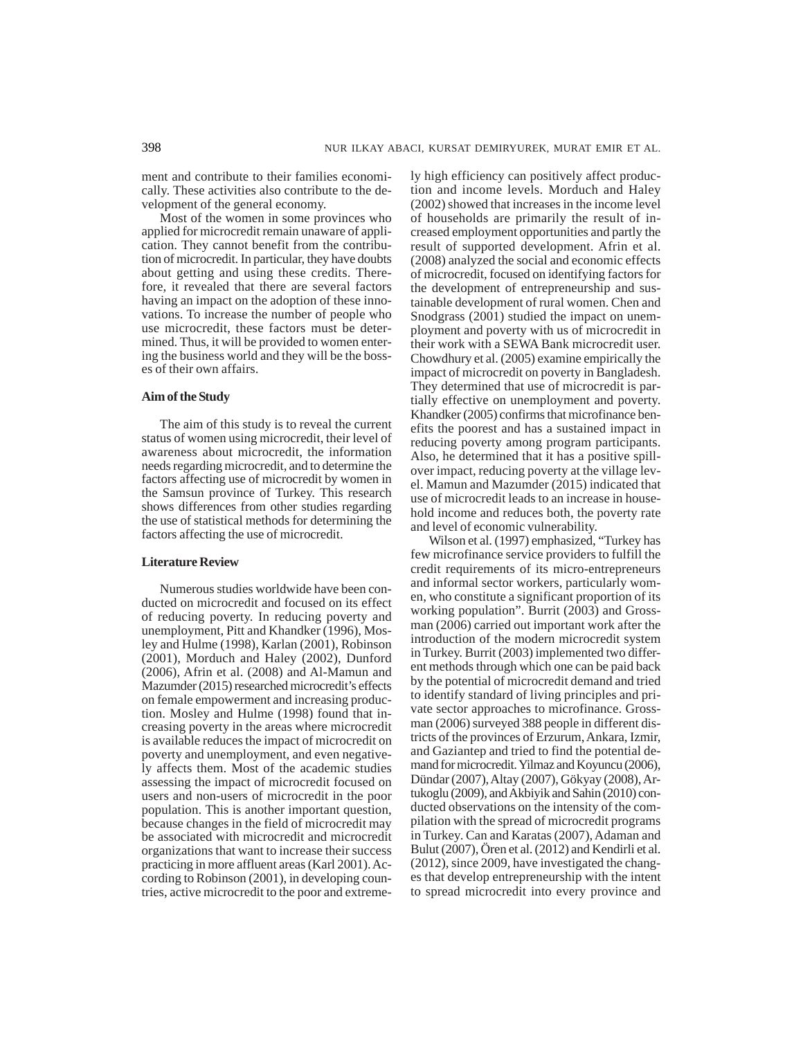ment and contribute to their families economically. These activities also contribute to the development of the general economy.

Most of the women in some provinces who applied for microcredit remain unaware of application. They cannot benefit from the contribution of microcredit. In particular, they have doubts about getting and using these credits. Therefore, it revealed that there are several factors having an impact on the adoption of these innovations. To increase the number of people who use microcredit, these factors must be determined. Thus, it will be provided to women entering the business world and they will be the bosses of their own affairs.

# **Aim of the Study**

The aim of this study is to reveal the current status of women using microcredit, their level of awareness about microcredit, the information needs regarding microcredit, and to determine the factors affecting use of microcredit by women in the Samsun province of Turkey. This research shows differences from other studies regarding the use of statistical methods for determining the factors affecting the use of microcredit.

# **Literature Review**

Numerous studies worldwide have been conducted on microcredit and focused on its effect of reducing poverty. In reducing poverty and unemployment, Pitt and Khandker (1996), Mosley and Hulme (1998), Karlan (2001), Robinson (2001), Morduch and Haley (2002), Dunford (2006), Afrin et al. (2008) and Al-Mamun and Mazumder (2015) researched microcredit's effects on female empowerment and increasing production. Mosley and Hulme (1998) found that increasing poverty in the areas where microcredit is available reduces the impact of microcredit on poverty and unemployment, and even negatively affects them. Most of the academic studies assessing the impact of microcredit focused on users and non-users of microcredit in the poor population. This is another important question, because changes in the field of microcredit may be associated with microcredit and microcredit organizations that want to increase their success practicing in more affluent areas (Karl 2001). According to Robinson (2001), in developing countries, active microcredit to the poor and extremely high efficiency can positively affect production and income levels. Morduch and Haley (2002) showed that increases in the income level of households are primarily the result of increased employment opportunities and partly the result of supported development. Afrin et al. (2008) analyzed the social and economic effects of microcredit, focused on identifying factors for the development of entrepreneurship and sustainable development of rural women. Chen and Snodgrass (2001) studied the impact on unemployment and poverty with us of microcredit in their work with a SEWA Bank microcredit user. Chowdhury et al. (2005) examine empirically the impact of microcredit on poverty in Bangladesh. They determined that use of microcredit is partially effective on unemployment and poverty. Khandker (2005) confirms that microfinance benefits the poorest and has a sustained impact in reducing poverty among program participants. Also, he determined that it has a positive spillover impact, reducing poverty at the village level. Mamun and Mazumder (2015) indicated that use of microcredit leads to an increase in household income and reduces both, the poverty rate and level of economic vulnerability.

Wilson et al. (1997) emphasized, "Turkey has few microfinance service providers to fulfill the credit requirements of its micro-entrepreneurs and informal sector workers, particularly women, who constitute a significant proportion of its working population". Burrit (2003) and Grossman (2006) carried out important work after the introduction of the modern microcredit system in Turkey. Burrit (2003) implemented two different methods through which one can be paid back by the potential of microcredit demand and tried to identify standard of living principles and private sector approaches to microfinance. Grossman (2006) surveyed 388 people in different districts of the provinces of Erzurum, Ankara, Izmir, and Gaziantep and tried to find the potential demand for microcredit. Yilmaz and Koyuncu (2006), Dündar (2007), Altay (2007), Gökyay (2008), Artukoglu (2009), and Akbiyik and Sahin (2010) conducted observations on the intensity of the compilation with the spread of microcredit programs in Turkey. Can and Karatas (2007), Adaman and Bulut (2007), Ören et al. (2012) and Kendirli et al. (2012), since 2009, have investigated the changes that develop entrepreneurship with the intent to spread microcredit into every province and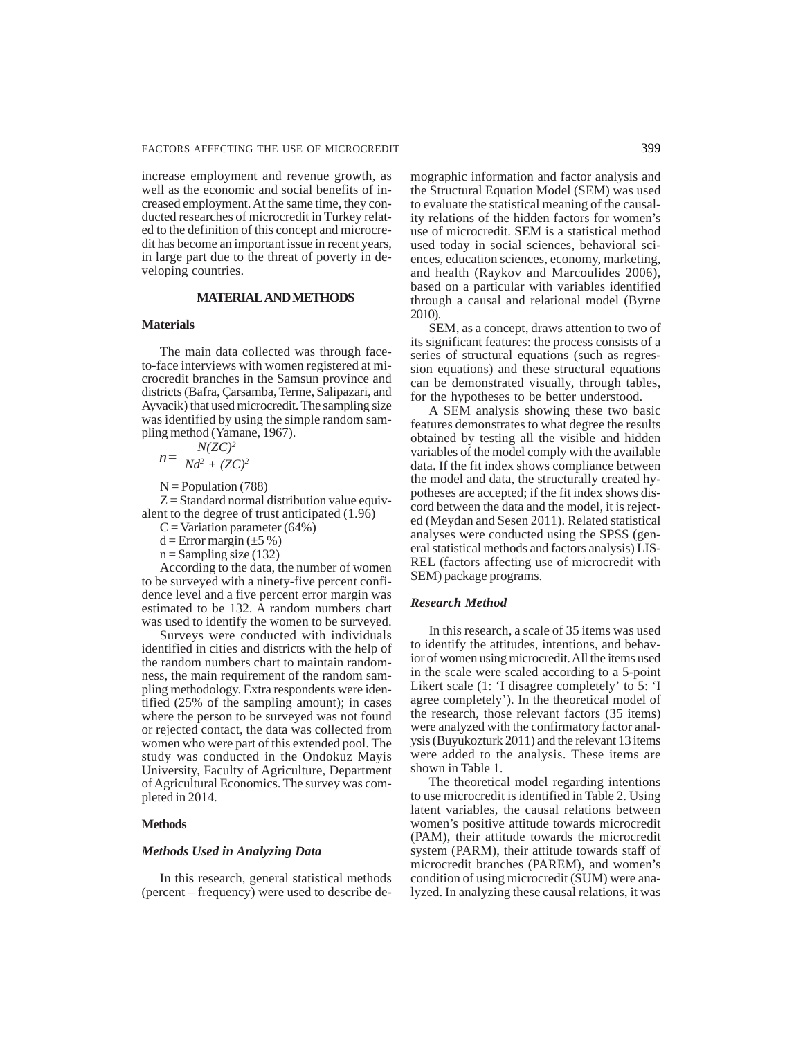increase employment and revenue growth, as well as the economic and social benefits of increased employment. At the same time, they conducted researches of microcredit in Turkey related to the definition of this concept and microcredit has become an important issue in recent years, in large part due to the threat of poverty in developing countries.

## **MATERIAL AND METHODS**

## **Materials**

The main data collected was through faceto-face interviews with women registered at microcredit branches in the Samsun province and districts (Bafra, Çarsamba, Terme, Salipazari, and Ayvacik) that used microcredit. The sampling size was identified by using the simple random sampling method (Yamane, 1967).

$$
n = \frac{N(ZC)^2}{Nd^2 + (ZC)^2}
$$

 $N =$ Population (788)

 $Z =$ Standard normal distribution value equivalent to the degree of trust anticipated (1.96)

 $C = Variation parameter (64%)$ 

 $d = Error margin (\pm 5\%)$ 

 $n =$ Sampling size (132)

According to the data, the number of women to be surveyed with a ninety-five percent confidence level and a five percent error margin was estimated to be 132. A random numbers chart was used to identify the women to be surveyed.

Surveys were conducted with individuals identified in cities and districts with the help of the random numbers chart to maintain randomness, the main requirement of the random sampling methodology. Extra respondents were identified (25% of the sampling amount); in cases where the person to be surveyed was not found or rejected contact, the data was collected from women who were part of this extended pool. The study was conducted in the Ondokuz Mayis University, Faculty of Agriculture, Department of Agricultural Economics. The survey was completed in 2014.

## **Methods**

## *Methods Used in Analyzing Data*

In this research, general statistical methods (percent – frequency) were used to describe demographic information and factor analysis and the Structural Equation Model (SEM) was used to evaluate the statistical meaning of the causality relations of the hidden factors for women's use of microcredit. SEM is a statistical method used today in social sciences, behavioral sciences, education sciences, economy, marketing, and health (Raykov and Marcoulides 2006), based on a particular with variables identified through a causal and relational model (Byrne 2010).

SEM, as a concept, draws attention to two of its significant features: the process consists of a series of structural equations (such as regression equations) and these structural equations can be demonstrated visually, through tables, for the hypotheses to be better understood.

A SEM analysis showing these two basic features demonstrates to what degree the results obtained by testing all the visible and hidden variables of the model comply with the available data. If the fit index shows compliance between the model and data, the structurally created hypotheses are accepted; if the fit index shows discord between the data and the model, it is rejected (Meydan and Sesen 2011). Related statistical analyses were conducted using the SPSS (general statistical methods and factors analysis) LIS-REL (factors affecting use of microcredit with SEM) package programs.

# *Research Method*

In this research, a scale of 35 items was used to identify the attitudes, intentions, and behavior of women using microcredit. All the items used in the scale were scaled according to a 5-point Likert scale (1: 'I disagree completely' to 5: 'I agree completely'). In the theoretical model of the research, those relevant factors (35 items) were analyzed with the confirmatory factor analysis (Buyukozturk 2011) and the relevant 13 items were added to the analysis. These items are shown in Table 1.

The theoretical model regarding intentions to use microcredit is identified in Table 2. Using latent variables, the causal relations between women's positive attitude towards microcredit (PAM), their attitude towards the microcredit system (PARM), their attitude towards staff of microcredit branches (PAREM), and women's condition of using microcredit (SUM) were analyzed. In analyzing these causal relations, it was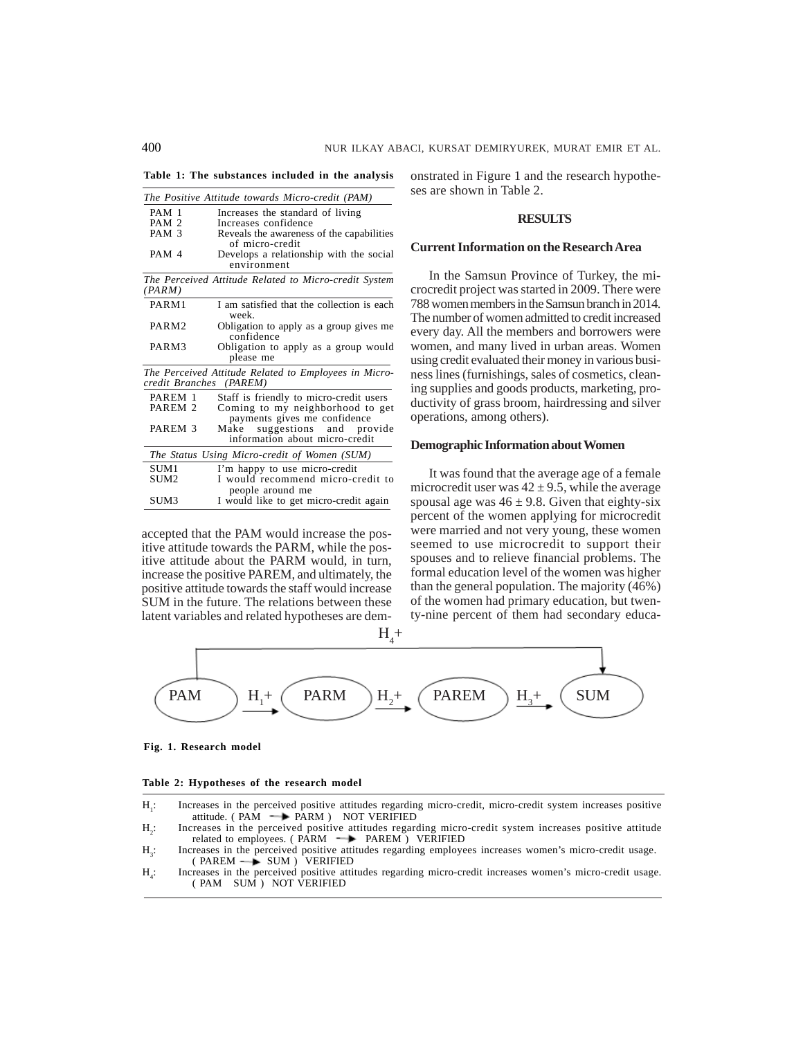**Table 1: The substances included in the analysis**

|                    | The Positive Attitude towards Micro-credit (PAM)                                 |
|--------------------|----------------------------------------------------------------------------------|
| PAM 1              | Increases the standard of living                                                 |
| PAM <sub>2</sub>   | Increases confidence                                                             |
| PAM <sub>3</sub>   | Reveals the awareness of the capabilities                                        |
|                    | of micro-credit                                                                  |
| PAM <sub>4</sub>   | Develops a relationship with the social<br>environment                           |
| (PARM)             | The Perceived Attitude Related to Micro-credit System                            |
| PARM1              | I am satisfied that the collection is each<br>week.                              |
| PARM <sub>2</sub>  | Obligation to apply as a group gives me<br>confidence                            |
| PARM3              | Obligation to apply as a group would<br>please me                                |
|                    | The Perceived Attitude Related to Employees in Micro-<br>credit Branches (PAREM) |
| PAREM 1            | Staff is friendly to micro-credit users                                          |
| PAREM <sub>2</sub> | Coming to my neighborhood to get<br>payments gives me confidence                 |
| PAREM <sub>3</sub> | suggestions and provide<br>Make<br>information about micro-credit                |
|                    | The Status Using Micro-credit of Women (SUM)                                     |
| SUM1               | I'm happy to use micro-credit                                                    |
| SUM <sub>2</sub>   | I would recommend micro-credit to                                                |
| SUM3               | people around me<br>I would like to get micro-credit again                       |

accepted that the PAM would increase the positive attitude towards the PARM, while the positive attitude about the PARM would, in turn, increase the positive PAREM, and ultimately, the positive attitude towards the staff would increase SUM in the future. The relations between these latent variables and related hypotheses are demonstrated in Figure 1 and the research hypotheses are shown in Table 2.

## **RESULTS**

#### **Current Information on the Research Area**

In the Samsun Province of Turkey, the microcredit project was started in 2009. There were 788 women members in the Samsun branch in 2014. The number of women admitted to credit increased every day. All the members and borrowers were women, and many lived in urban areas. Women using credit evaluated their money in various business lines (furnishings, sales of cosmetics, cleaning supplies and goods products, marketing, productivity of grass broom, hairdressing and silver operations, among others).

## **Demographic Information about Women**

It was found that the average age of a female microcredit user was  $42 \pm 9.5$ , while the average spousal age was  $46 \pm 9.8$ . Given that eighty-six percent of the women applying for microcredit were married and not very young, these women seemed to use microcredit to support their spouses and to relieve financial problems. The formal education level of the women was higher than the general population. The majority (46%) of the women had primary education, but twenty-nine percent of them had secondary educa-



#### **Fig. 1. Research model**

|  | Table 2: Hypotheses of the research model |  |  |
|--|-------------------------------------------|--|--|
|  |                                           |  |  |

- $H_1$ : : Increases in the perceived positive attitudes regarding micro-credit, micro-credit system increases positive attitude. ( $PAM \rightarrow PARM$ ) NOT VERIFIED
- $H<sub>2</sub>$ : : Increases in the perceived positive attitudes regarding micro-credit system increases positive attitude related to employees. (PARM -> PAREM ) VERIFIED
- $H<sub>2</sub>$ : : Increases in the perceived positive attitudes regarding employees increases women's micro-credit usage.  $(PARENT \longrightarrow SUM) VERIFIED$
- $H_{4}$ : : Increases in the perceived positive attitudes regarding micro-credit increases women's micro-credit usage. ( PAM SUM ) NOT VERIFIED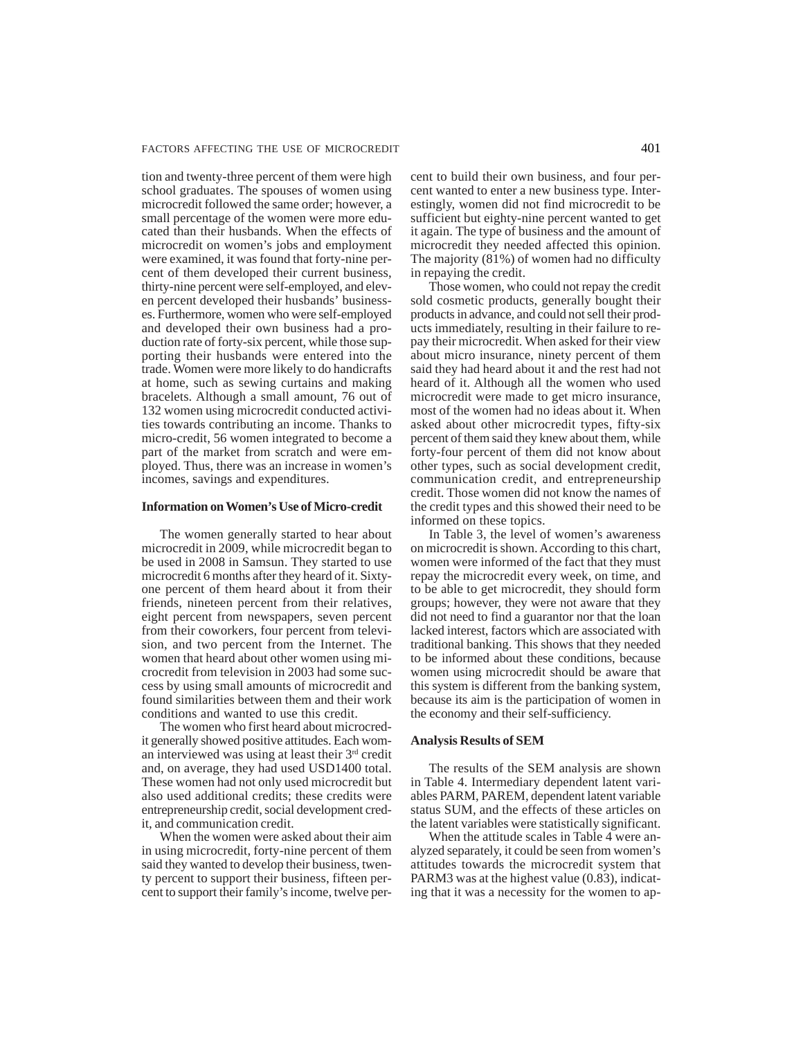tion and twenty-three percent of them were high school graduates. The spouses of women using microcredit followed the same order; however, a small percentage of the women were more educated than their husbands. When the effects of microcredit on women's jobs and employment were examined, it was found that forty-nine percent of them developed their current business, thirty-nine percent were self-employed, and eleven percent developed their husbands' businesses. Furthermore, women who were self-employed and developed their own business had a production rate of forty-six percent, while those supporting their husbands were entered into the trade. Women were more likely to do handicrafts at home, such as sewing curtains and making bracelets. Although a small amount, 76 out of 132 women using microcredit conducted activities towards contributing an income. Thanks to micro-credit, 56 women integrated to become a part of the market from scratch and were employed. Thus, there was an increase in women's incomes, savings and expenditures.

## **Information on Women's Use of Micro-credit**

The women generally started to hear about microcredit in 2009, while microcredit began to be used in 2008 in Samsun. They started to use microcredit 6 months after they heard of it. Sixtyone percent of them heard about it from their friends, nineteen percent from their relatives, eight percent from newspapers, seven percent from their coworkers, four percent from television, and two percent from the Internet. The women that heard about other women using microcredit from television in 2003 had some success by using small amounts of microcredit and found similarities between them and their work conditions and wanted to use this credit.

The women who first heard about microcredit generally showed positive attitudes. Each woman interviewed was using at least their  $3<sup>rd</sup>$  credit and, on average, they had used USD1400 total. These women had not only used microcredit but also used additional credits; these credits were entrepreneurship credit, social development credit, and communication credit.

When the women were asked about their aim in using microcredit, forty-nine percent of them said they wanted to develop their business, twenty percent to support their business, fifteen percent to support their family's income, twelve percent to build their own business, and four percent wanted to enter a new business type. Interestingly, women did not find microcredit to be sufficient but eighty-nine percent wanted to get it again. The type of business and the amount of microcredit they needed affected this opinion. The majority (81%) of women had no difficulty in repaying the credit.

Those women, who could not repay the credit sold cosmetic products, generally bought their products in advance, and could not sell their products immediately, resulting in their failure to repay their microcredit. When asked for their view about micro insurance, ninety percent of them said they had heard about it and the rest had not heard of it. Although all the women who used microcredit were made to get micro insurance, most of the women had no ideas about it. When asked about other microcredit types, fifty-six percent of them said they knew about them, while forty-four percent of them did not know about other types, such as social development credit, communication credit, and entrepreneurship credit. Those women did not know the names of the credit types and this showed their need to be informed on these topics.

In Table 3, the level of women's awareness on microcredit is shown. According to this chart, women were informed of the fact that they must repay the microcredit every week, on time, and to be able to get microcredit, they should form groups; however, they were not aware that they did not need to find a guarantor nor that the loan lacked interest, factors which are associated with traditional banking. This shows that they needed to be informed about these conditions, because women using microcredit should be aware that this system is different from the banking system, because its aim is the participation of women in the economy and their self-sufficiency.

## **Analysis Results of SEM**

The results of the SEM analysis are shown in Table 4. Intermediary dependent latent variables PARM, PAREM, dependent latent variable status SUM, and the effects of these articles on the latent variables were statistically significant.

When the attitude scales in Table 4 were analyzed separately, it could be seen from women's attitudes towards the microcredit system that PARM3 was at the highest value (0.83), indicating that it was a necessity for the women to ap-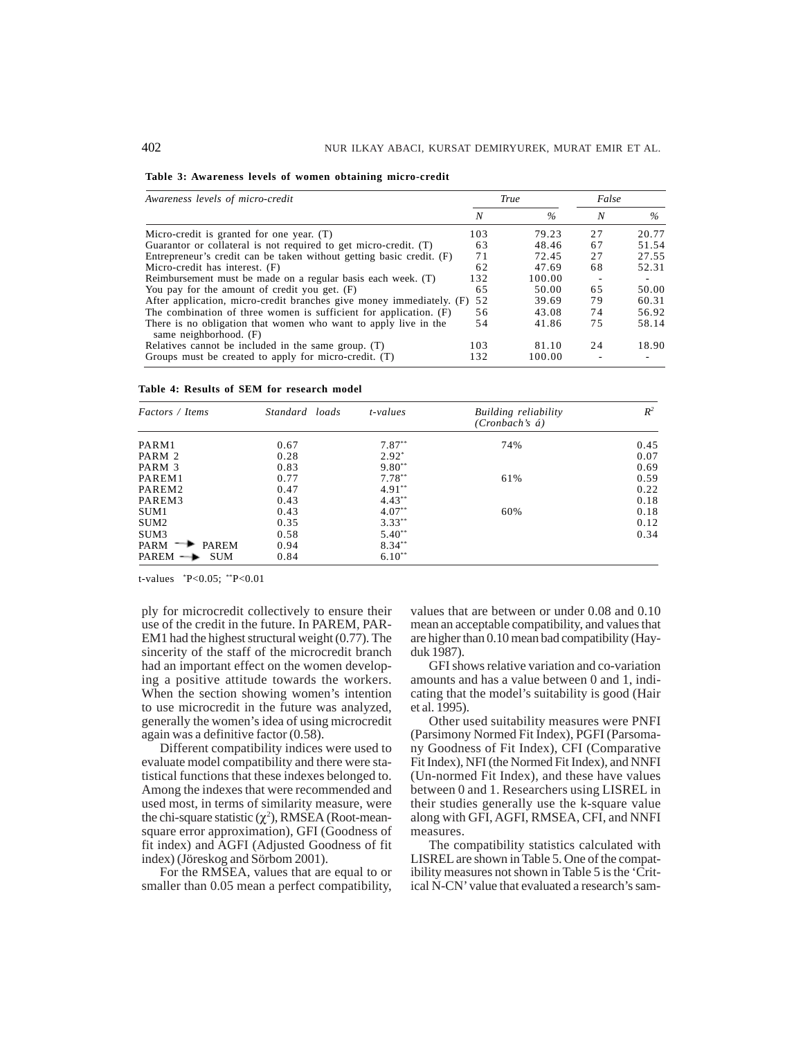|  | Table 3: Awareness levels of women obtaining micro-credit |  |  |  |
|--|-----------------------------------------------------------|--|--|--|
|  |                                                           |  |  |  |

| Awareness levels of micro-credit                                                          |     | <b>True</b> | False |       |
|-------------------------------------------------------------------------------------------|-----|-------------|-------|-------|
|                                                                                           | N   | $\%$        | N     | $\%$  |
| Micro-credit is granted for one year. $(T)$                                               | 103 | 79.23       | 27    | 20.77 |
| Guarantor or collateral is not required to get micro-credit. (T)                          | 63  | 48.46       | 67    | 51.54 |
| Entrepreneur's credit can be taken without getting basic credit. (F)                      | 71  | 72.45       | 27    | 27.55 |
| Micro-credit has interest. (F)                                                            | 62  | 47.69       | 68    | 52.31 |
| Reimbursement must be made on a regular basis each week. (T)                              | 132 | 100.00      | ۰     |       |
| You pay for the amount of credit you get. $(F)$                                           | 65  | 50.00       | 65    | 50.00 |
| After application, micro-credit branches give money immediately. (F) 52                   |     | 39.69       | 79    | 60.31 |
| The combination of three women is sufficient for application. (F)                         | 56  | 43.08       | 74    | 56.92 |
| There is no obligation that women who want to apply live in the<br>same neighborhood. (F) | 54  | 41.86       | 75    | 58.14 |
| Relatives cannot be included in the same group. (T)                                       | 103 | 81.10       | 24    | 18.90 |
| Groups must be created to apply for micro-credit. (T)                                     | 132 | 100.00      |       |       |

| Table 4: Results of SEM for research model |  |  |  |  |  |  |  |  |
|--------------------------------------------|--|--|--|--|--|--|--|--|
|--------------------------------------------|--|--|--|--|--|--|--|--|

| Factors / Items                   | Standard loads | $t$ -values | Building reliability<br>$(Cronbach's \, \, \acute{a})$ | $R^2$ |
|-----------------------------------|----------------|-------------|--------------------------------------------------------|-------|
| PARM1                             | 0.67           | $7.87**$    | 74%                                                    | 0.45  |
| PARM 2                            | 0.28           | $2.92*$     |                                                        | 0.07  |
| PARM 3                            | 0.83           | $9.80**$    |                                                        | 0.69  |
| PAREM1                            | 0.77           | $7.78***$   | 61%                                                    | 0.59  |
| PAREM2                            | 0.47           | $4.91***$   |                                                        | 0.22  |
| PAREM3                            | 0.43           | $4.43***$   |                                                        | 0.18  |
| SUM1                              | 0.43           | $4.07**$    | 60%                                                    | 0.18  |
| SUM <sub>2</sub>                  | 0.35           | $3.33***$   |                                                        | 0.12  |
| SUM3                              | 0.58           | $5.40**$    |                                                        | 0.34  |
| PARM<br><b>PAREM</b>              | 0.94           | $8.34***$   |                                                        |       |
| PAREM $\rightarrow$<br><b>SUM</b> | 0.84           | $6.10**$    |                                                        |       |

t-values \* P<0.05; \*\*P<0.01

ply for microcredit collectively to ensure their use of the credit in the future. In PAREM, PAR-EM1 had the highest structural weight (0.77). The sincerity of the staff of the microcredit branch had an important effect on the women developing a positive attitude towards the workers. When the section showing women's intention to use microcredit in the future was analyzed, generally the women's idea of using microcredit again was a definitive factor (0.58).

Different compatibility indices were used to evaluate model compatibility and there were statistical functions that these indexes belonged to. Among the indexes that were recommended and used most, in terms of similarity measure, were the chi-square statistic  $(\chi^2)$ , RMSEA (Root-meansquare error approximation), GFI (Goodness of fit index) and AGFI (Adjusted Goodness of fit index) (Jöreskog and Sörbom 2001).

For the RMSEA, values that are equal to or smaller than 0.05 mean a perfect compatibility, values that are between or under 0.08 and 0.10 mean an acceptable compatibility, and values that are higher than 0.10 mean bad compatibility (Hayduk 1987).

GFI shows relative variation and co-variation amounts and has a value between 0 and 1, indicating that the model's suitability is good (Hair et al. 1995).

Other used suitability measures were PNFI (Parsimony Normed Fit Index), PGFI (Parsomany Goodness of Fit Index), CFI (Comparative Fit Index), NFI (the Normed Fit Index), and NNFI (Un-normed Fit Index), and these have values between 0 and 1. Researchers using LISREL in their studies generally use the k-square value along with GFI, AGFI, RMSEA, CFI, and NNFI measures.

The compatibility statistics calculated with LISREL are shown in Table 5. One of the compatibility measures not shown in Table 5 is the 'Critical N-CN' value that evaluated a research's sam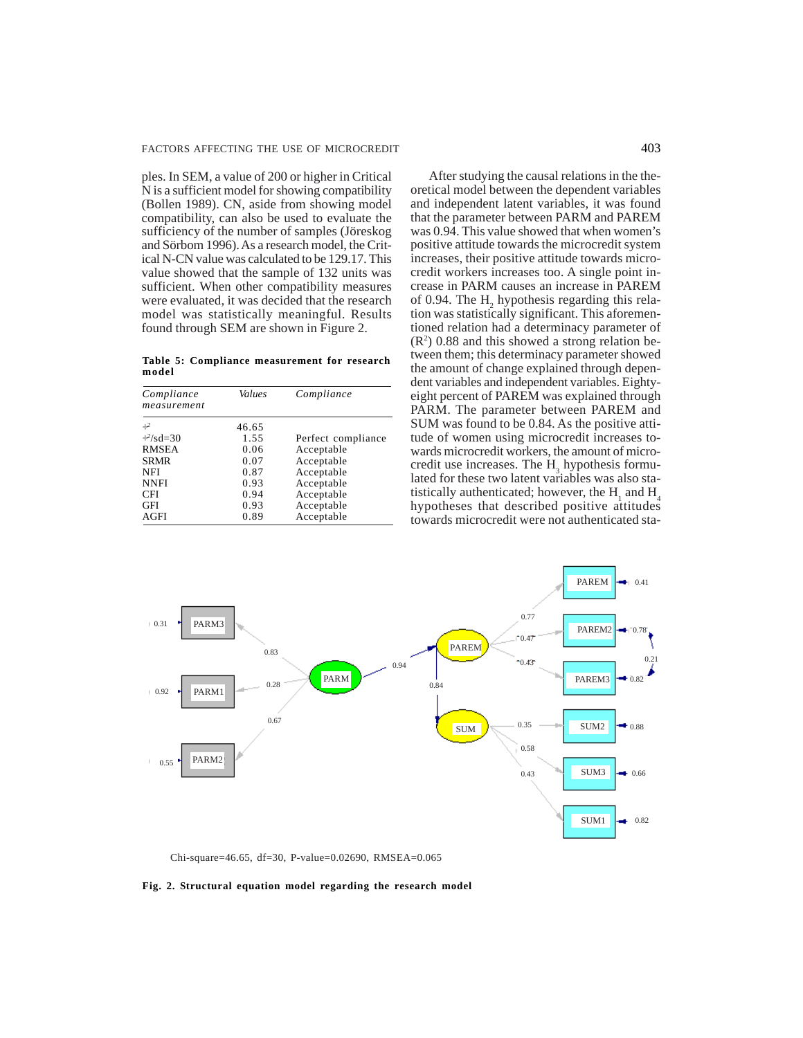ples. In SEM, a value of 200 or higher in Critical N is a sufficient model for showing compatibility (Bollen 1989). CN, aside from showing model compatibility, can also be used to evaluate the sufficiency of the number of samples (Jöreskog and Sörbom 1996). As a research model, the Critical N-CN value was calculated to be 129.17. This value showed that the sample of 132 units was sufficient. When other compatibility measures were evaluated, it was decided that the research model was statistically meaningful. Results found through SEM are shown in Figure 2.

**Table 5: Compliance measurement for research model**

| Compliance<br>measurement | Values | Compliance         |
|---------------------------|--------|--------------------|
| $\div^2$                  | 46.65  |                    |
| $\div^2$ /sd=30           | 1.55   | Perfect compliance |
| <b>RMSEA</b>              | 0.06   | Acceptable         |
| <b>SRMR</b>               | 0.07   | Acceptable         |
| <b>NFI</b>                | 0.87   | Acceptable         |
| <b>NNFI</b>               | 0.93   | Acceptable         |
| <b>CFI</b>                | 0.94   | Acceptable         |
| <b>GFI</b>                | 0.93   | Acceptable         |
| <b>AGFI</b>               | 0.89   | Acceptable         |

After studying the causal relations in the theoretical model between the dependent variables and independent latent variables, it was found that the parameter between PARM and PAREM was 0.94. This value showed that when women's positive attitude towards the microcredit system increases, their positive attitude towards microcredit workers increases too. A single point increase in PARM causes an increase in PAREM of 0.94. The  $H_2$  hypothesis regarding this relation was statistically significant. This aforementioned relation had a determinacy parameter of  $(R<sup>2</sup>)$  0.88 and this showed a strong relation between them; this determinacy parameter showed the amount of change explained through dependent variables and independent variables. Eightyeight percent of PAREM was explained through PARM. The parameter between PAREM and SUM was found to be 0.84. As the positive attitude of women using microcredit increases towards microcredit workers, the amount of microcredit use increases. The  $H_3$  hypothesis formulated for these two latent variables was also statistically authenticated; however, the  $H_1$  and  $H_4$ hypotheses that described positive attitudes towards microcredit were not authenticated sta-



Chi-square=46.65, df=30, P-value=0.02690, RMSEA=0.065

**Fig. 2. Structural equation model regarding the research model**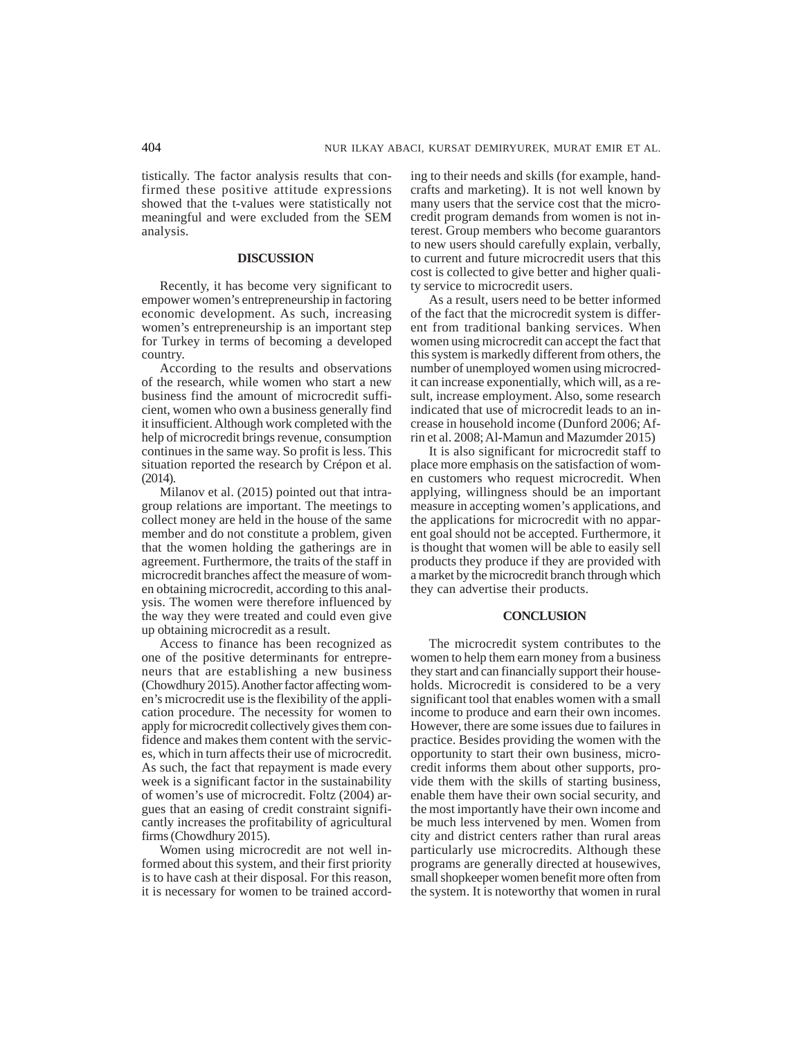tistically. The factor analysis results that confirmed these positive attitude expressions showed that the t-values were statistically not meaningful and were excluded from the SEM analysis.

# **DISCUSSION**

Recently, it has become very significant to empower women's entrepreneurship in factoring economic development. As such, increasing women's entrepreneurship is an important step for Turkey in terms of becoming a developed country.

According to the results and observations of the research, while women who start a new business find the amount of microcredit sufficient, women who own a business generally find it insufficient. Although work completed with the help of microcredit brings revenue, consumption continues in the same way. So profit is less. This situation reported the research by Crépon et al. (2014).

Milanov et al. (2015) pointed out that intragroup relations are important. The meetings to collect money are held in the house of the same member and do not constitute a problem, given that the women holding the gatherings are in agreement. Furthermore, the traits of the staff in microcredit branches affect the measure of women obtaining microcredit, according to this analysis. The women were therefore influenced by the way they were treated and could even give up obtaining microcredit as a result.

Access to finance has been recognized as one of the positive determinants for entrepreneurs that are establishing a new business (Chowdhury 2015). Another factor affecting women's microcredit use is the flexibility of the application procedure. The necessity for women to apply for microcredit collectively gives them confidence and makes them content with the services, which in turn affects their use of microcredit. As such, the fact that repayment is made every week is a significant factor in the sustainability of women's use of microcredit. Foltz (2004) argues that an easing of credit constraint significantly increases the profitability of agricultural firms (Chowdhury 2015).

Women using microcredit are not well informed about this system, and their first priority is to have cash at their disposal. For this reason, it is necessary for women to be trained according to their needs and skills (for example, handcrafts and marketing). It is not well known by many users that the service cost that the microcredit program demands from women is not interest. Group members who become guarantors to new users should carefully explain, verbally, to current and future microcredit users that this cost is collected to give better and higher quality service to microcredit users.

As a result, users need to be better informed of the fact that the microcredit system is different from traditional banking services. When women using microcredit can accept the fact that this system is markedly different from others, the number of unemployed women using microcredit can increase exponentially, which will, as a result, increase employment. Also, some research indicated that use of microcredit leads to an increase in household income (Dunford 2006; Afrin et al. 2008; Al-Mamun and Mazumder 2015)

It is also significant for microcredit staff to place more emphasis on the satisfaction of women customers who request microcredit. When applying, willingness should be an important measure in accepting women's applications, and the applications for microcredit with no apparent goal should not be accepted. Furthermore, it is thought that women will be able to easily sell products they produce if they are provided with a market by the microcredit branch through which they can advertise their products.

## **CONCLUSION**

The microcredit system contributes to the women to help them earn money from a business they start and can financially support their households. Microcredit is considered to be a very significant tool that enables women with a small income to produce and earn their own incomes. However, there are some issues due to failures in practice. Besides providing the women with the opportunity to start their own business, microcredit informs them about other supports, provide them with the skills of starting business, enable them have their own social security, and the most importantly have their own income and be much less intervened by men. Women from city and district centers rather than rural areas particularly use microcredits. Although these programs are generally directed at housewives, small shopkeeper women benefit more often from the system. It is noteworthy that women in rural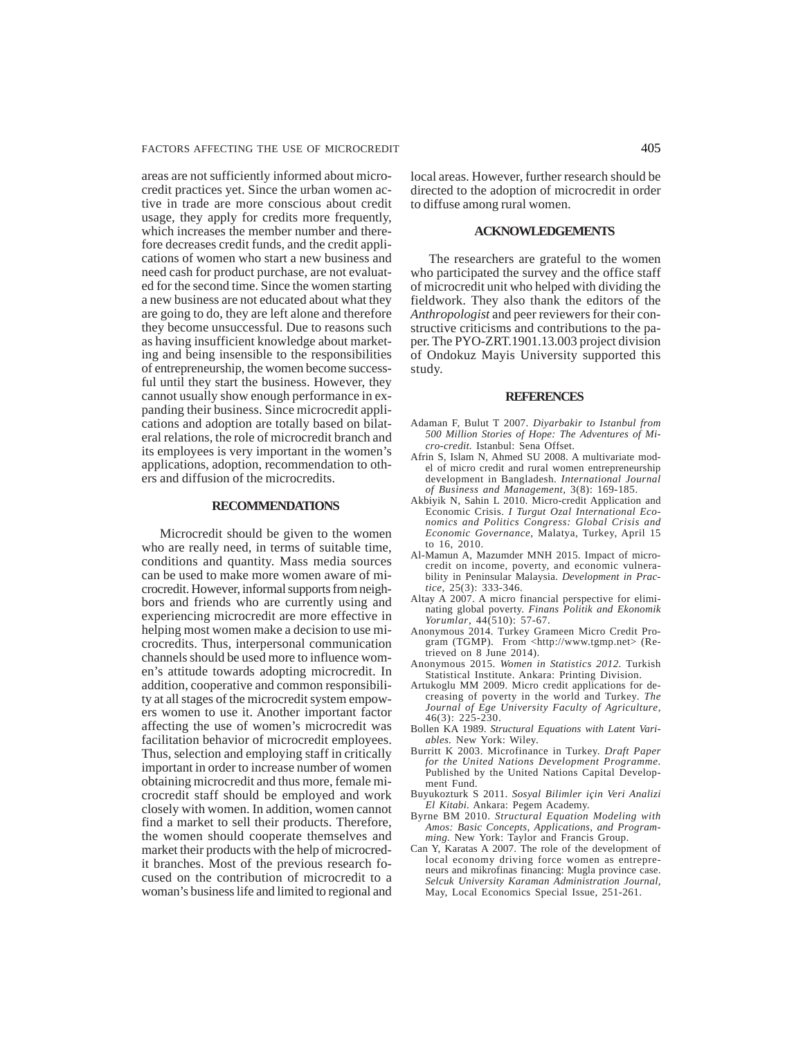areas are not sufficiently informed about microcredit practices yet. Since the urban women active in trade are more conscious about credit usage, they apply for credits more frequently, which increases the member number and therefore decreases credit funds, and the credit applications of women who start a new business and need cash for product purchase, are not evaluated for the second time. Since the women starting a new business are not educated about what they are going to do, they are left alone and therefore they become unsuccessful. Due to reasons such as having insufficient knowledge about marketing and being insensible to the responsibilities of entrepreneurship, the women become successful until they start the business. However, they cannot usually show enough performance in expanding their business. Since microcredit applications and adoption are totally based on bilateral relations, the role of microcredit branch and its employees is very important in the women's applications, adoption, recommendation to others and diffusion of the microcredits.

## **RECOMMENDATIONS**

Microcredit should be given to the women who are really need, in terms of suitable time, conditions and quantity. Mass media sources can be used to make more women aware of microcredit. However, informal supports from neighbors and friends who are currently using and experiencing microcredit are more effective in helping most women make a decision to use microcredits. Thus, interpersonal communication channels should be used more to influence women's attitude towards adopting microcredit. In addition, cooperative and common responsibility at all stages of the microcredit system empowers women to use it. Another important factor affecting the use of women's microcredit was facilitation behavior of microcredit employees. Thus, selection and employing staff in critically important in order to increase number of women obtaining microcredit and thus more, female microcredit staff should be employed and work closely with women. In addition, women cannot find a market to sell their products. Therefore, the women should cooperate themselves and market their products with the help of microcredit branches. Most of the previous research focused on the contribution of microcredit to a woman's business life and limited to regional and local areas. However, further research should be directed to the adoption of microcredit in order to diffuse among rural women.

# **ACKNOWLEDGEMENTS**

The researchers are grateful to the women who participated the survey and the office staff of microcredit unit who helped with dividing the fieldwork. They also thank the editors of the *Anthropologist* and peer reviewers for their constructive criticisms and contributions to the paper. The PYO-ZRT.1901.13.003 project division of Ondokuz Mayis University supported this study.

#### **REFERENCES**

- Adaman F, Bulut T 2007. *Diyarbakir to Istanbul from 500 Million Stories of Hope: The Adventures of Micro-credit.* Istanbul: Sena Offset.
- Afrin S, Islam N, Ahmed SU 2008. A multivariate model of micro credit and rural women entrepreneurship development in Bangladesh. *International Journal of Business and Management,* 3(8): 169-185.
- Akbiyik N, Sahin L 2010. Micro-credit Application and Economic Crisis. *I Turgut Ozal International Economics and Politics Congress: Global Crisis and Economic Governance,* Malatya, Turkey, April 15 to 16, 2010.
- Al-Mamun A, Mazumder MNH 2015. Impact of microcredit on income, poverty, and economic vulnerability in Peninsular Malaysia. *Development in Practice*, 25(3): 333-346.
- Altay A 2007. A micro financial perspective for eliminating global poverty. *Finans Politik and Ekonomik Yorumlar*, 44(510): 57-67.
- Anonymous 2014. Turkey Grameen Micro Credit Program (TGMP). From <http://www.tgmp.net> (Retrieved on 8 June 2014).
- Anonymous 2015. *Women in Statistics 2012.* Turkish Statistical Institute. Ankara: Printing Division.
- Artukoglu MM 2009. Micro credit applications for decreasing of poverty in the world and Turkey. *The Journal of Ege University Faculty of Agriculture,* 46(3): 225-230.
- Bollen KA 1989. *Structural Equations with Latent Variables.* New York: Wiley.
- Burritt K 2003. Microfinance in Turkey. *Draft Paper for the United Nations Development Programme.* Published by the United Nations Capital Development Fund.
- Buyukozturk S 2011. *Sosyal Bilimler için Veri Analizi El Kitabi.* Ankara: Pegem Academy.
- Byrne BM 2010. *Structural Equation Modeling with Amos: Basic Concepts, Applications, and Programming.* New York: Taylor and Francis Group.
- Can Y, Karatas A 2007. The role of the development of local economy driving force women as entrepreneurs and mikrofinas financing: Mugla province case. *Selcuk University Karaman Administration Journal,* May, Local Economics Special Issue, 251-261.